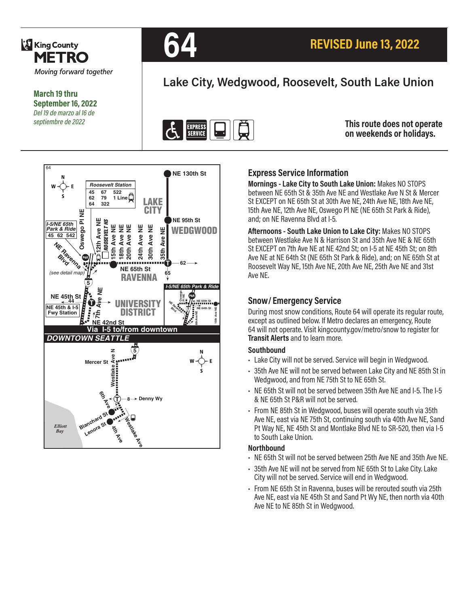

**March 19 thru September 16, 2022** *Del 19 de marzo al 16 de septiembre de 2022*



# **Lake City, Wedgwood, Roosevelt, South Lake Union**



**This route does not operate on weekends or holidays.**



## **Express Service Information**

**Mornings - Lake City to South Lake Union:** Makes NO STOPS between NE 65th St & 35th Ave NE and Westlake Ave N St & Mercer St EXCEPT on NE 65th St at 30th Ave NE, 24th Ave NE, 18th Ave NE, 15th Ave NE, 12th Ave NE, Oswego Pl NE (NE 65th St Park & Ride), and; on NE Ravenna Blvd at I-5.

**Afternoons - South Lake Union to Lake City:** Makes NO STOPS between Westlake Ave N & Harrison St and 35th Ave NE & NE 65th St EXCEPT on 7th Ave NE at NE 42nd St; on I-5 at NE 45th St; on 8th Ave NE at NE 64th St (NE 65th St Park & Ride), and; on NE 65th St at Roosevelt Way NE, 15th Ave NE, 20th Ave NE, 25th Ave NE and 31st Ave NE.

### **Snow/ Emergency Service**

During most snow conditions, Route 64 will operate its regular route, except as outlined below. If Metro declares an emergency, Route 64 will not operate. Visit kingcounty.gov/metro/snow to register for **Transit Alerts** and to learn more.

#### **Southbound**

- Lake City will not be served. Service will begin in Wedgwood.
- 35th Ave NE will not be served between Lake City and NE 85th St in Wedgwood, and from NE 75th St to NE 65th St.
- NE 65th St will not be served between 35th Ave NE and I-5. The I-5 & NE 65th St P&R will not be served.
- From NE 85th St in Wedgwood, buses will operate south via 35th Ave NE, east via NE 75th St, continuing south via 40th Ave NE, Sand Pt Way NE, NE 45th St and Montlake Blvd NE to SR-520, then via I-5 to South Lake Union.

#### **Northbound**

- NE 65th St will not be served between 25th Ave NE and 35th Ave NE.
- 35th Ave NE will not be served from NE 65th St to Lake City. Lake City will not be served. Service will end in Wedgwood.
- From NE 65th St in Ravenna, buses will be rerouted south via 25th Ave NE, east via NE 45th St and Sand Pt Wy NE, then north via 40th Ave NE to NE 85th St in Wedgwood.